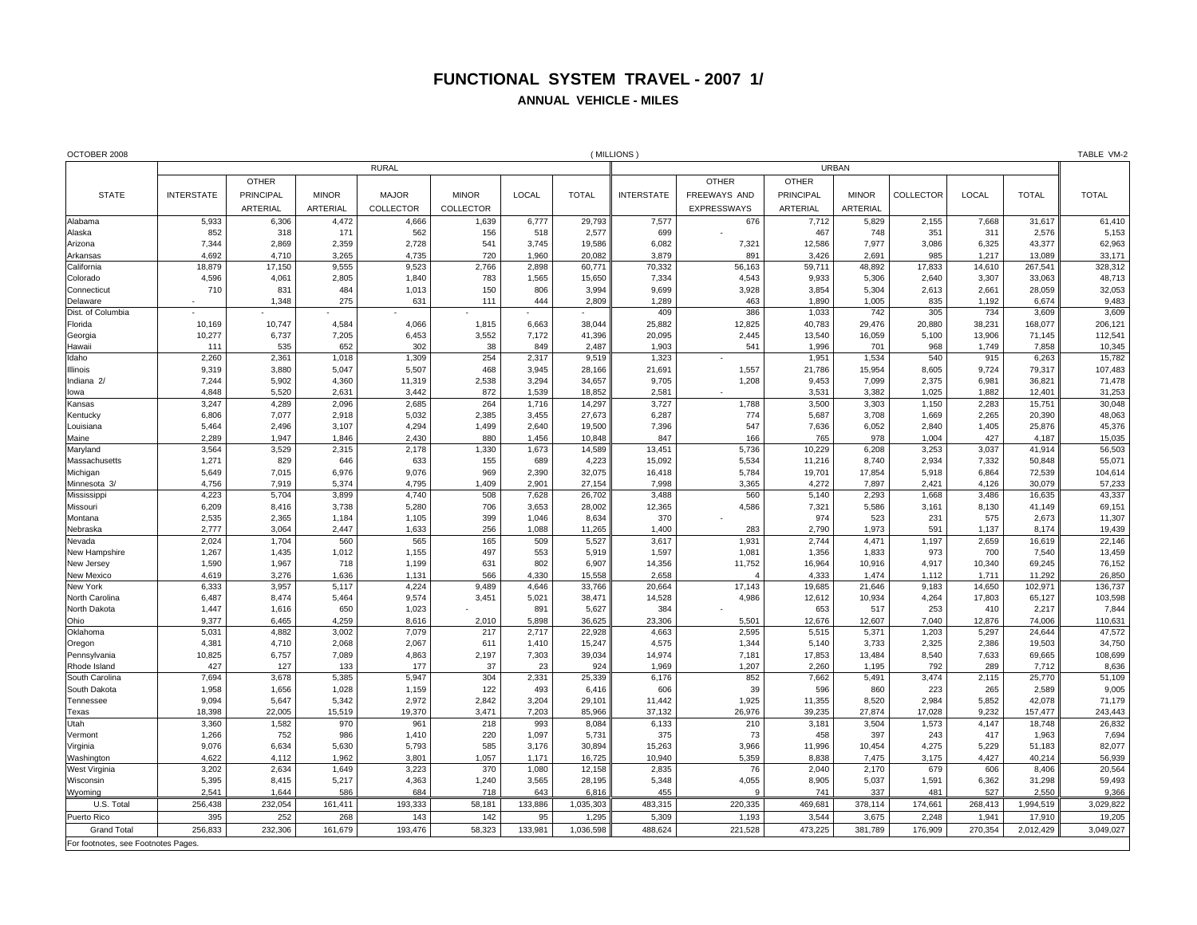## **FUNCTIONAL SYSTEM TRAVEL - 2007 1/ ANNUAL VEHICLE - MILES**

| OCTOBER 2008                       |                              | (MILLIONS        |                |                  |                  |                |                  |                   |                 |                  |                  |                  |                  |                   |                   |
|------------------------------------|------------------------------|------------------|----------------|------------------|------------------|----------------|------------------|-------------------|-----------------|------------------|------------------|------------------|------------------|-------------------|-------------------|
|                                    | <b>RURAL</b><br><b>URBAN</b> |                  |                |                  |                  |                |                  |                   |                 |                  |                  |                  |                  |                   |                   |
|                                    |                              | <b>OTHER</b>     |                |                  |                  |                |                  |                   | <b>OTHER</b>    | <b>OTHER</b>     |                  |                  |                  |                   |                   |
| <b>STATE</b>                       | <b>INTERSTATE</b>            | <b>PRINCIPAL</b> | <b>MINOR</b>   | <b>MAJOR</b>     | <b>MINOR</b>     | LOCAL          | <b>TOTAL</b>     | <b>INTERSTATE</b> | FREEWAYS AND    | <b>PRINCIPAL</b> | <b>MINOR</b>     | <b>COLLECTOR</b> | LOCAL            | <b>TOTAL</b>      | <b>TOTAL</b>      |
|                                    |                              | <b>ARTERIAL</b>  | ARTERIAL       | <b>COLLECTOR</b> | <b>COLLECTOR</b> |                |                  |                   | EXPRESSWAYS     | ARTERIAL         | ARTERIAL         |                  |                  |                   |                   |
| Alabama                            | 5,933                        | 6,306            | 4,472          | 4,666            | 1,639            | 6,777          | 29,793           | 7,577             | 676             | 7,712            | 5,829            | 2,155            | 7,668            | 31,617            | 61,410            |
| Alaska                             | 852                          | 318              | 171            | 562              | 156              | 518            | 2,577            | 699               |                 | 467              | 748              | 351              | 311              | 2,576             | 5,153             |
| Arizona                            | 7,344                        | 2,869            | 2,359          | 2,728            | 541              | 3,745          | 19,586           | 6,082             | 7,321           | 12,586           | 7,977            | 3,086            | 6,325            | 43,377            | 62,963            |
| Arkansas                           | 4,692                        | 4,710            | 3,265          | 4,735            | 720              | 1,960          | 20,082           | 3,879             | 891             | 3,426            | 2,691            | 985              | 1,217            | 13,089            | 33,171            |
| California                         | 18,879                       | 17,150           | 9,555          | 9,523            | 2,766            | 2,898          | 60,771           | 70,332            | 56,163          | 59,711           | 48,892           | 17,833           | 14,610           | 267,541           | 328,312           |
| Colorado                           | 4,596                        | 4,061            | 2,805          | 1,840            | 783              | 1,565          | 15,650           | 7,334             | 4,543           | 9,933            | 5,306            | 2,640            | 3,307            | 33,063            | 48,713            |
| Connecticut                        | 710                          | 831              | 484            | 1,013            | 150              | 806            | 3,994            | 9,699             | 3,928           | 3,854            | 5,304            | 2,613            | 2,661            | 28,059            | 32,053            |
| Delaware                           |                              | 1,348            | 275            | 631              | 111              | 444            | 2,809            | 1,289             | 463             | 1,890            | 1,005            | 835              | 1,192            | 6,674             | 9,483             |
| Dist. of Columbia                  |                              |                  |                |                  |                  |                |                  | 409               | 386             | 1,033            | 742              | 305              | 734              | 3,609             | 3,609             |
| Florida                            | 10,169                       | 10,747           | 4,584          | 4,066            | 1,815            | 6,663          | 38,044           | 25,882            | 12,825          | 40,783           | 29,476           | 20,880           | 38.231           | 168,077           | 206,121           |
| Georgia                            | 10,277                       | 6,737            | 7,205          | 6,453            | 3,552            | 7,172          | 41,396           | 20,095            | 2,445           | 13,540           | 16,059           | 5,100            | 13,906           | 71,145            | 112,541           |
| Hawaii<br>Idaho                    | 111<br>2,260                 | 535<br>2,36'     | 652<br>1,018   | 302<br>1,309     | 38<br>254        | 849<br>2,317   | 2,487<br>9,519   | 1,903<br>1,323    | 541             | 1,996<br>1,951   | 701<br>1,534     | 968<br>540       | 1,749<br>915     | 7,858<br>6,263    | 10,345<br>15,782  |
| Illinois                           | 9,319                        | 3,880            | 5,047          | 5,507            | 468              | 3,945          | 28,166           | 21,691            | 1,557           | 21,786           | 15,954           | 8,605            | 9,724            | 79,317            | 107,483           |
| Indiana <sub>2</sub>               | 7,244                        | 5,902            | 4,360          | 11,319           | 2,538            | 3,294          | 34,657           | 9,705             | 1,208           | 9,453            | 7,099            | 2,375            | 6,981            | 36,821            | 71,478            |
| lowa                               | 4,848                        | 5,520            | 2,631          | 3,442            | 872              | 1,539          | 18,852           | 2,581             |                 | 3,531            | 3,382            | 1,025            | 1,882            | 12,401            | 31,253            |
| Kansas                             | 3,247                        | 4.289            | 2,096          | 2,685            | 264              | 1,716          | 14,297           | 3,727             | 1,788           | 3,500            | 3.303            | 1,150            | 2.283            | 15,751            | 30,048            |
| Kentucky                           | 6,806                        | 7,077            | 2,918          | 5,032            | 2,385            | 3,455          | 27,673           | 6,287             | 774             | 5,687            | 3,708            | 1,669            | 2,265            | 20,390            | 48,063            |
| Louisiana                          | 5,464                        | 2,496            | 3,107          | 4,294            | 1,499            | 2,640          | 19,500           | 7,396             | 547             | 7,636            | 6,052            | 2,840            | 1,405            | 25,876            | 45,376            |
| Maine                              | 2,289                        | 1,947            | 1,846          | 2,430            | 880              | 1,456          | 10,848           | 847               | 166             | 765              | 978              | 1,004            | 427              | 4,187             | 15,035            |
| Maryland                           | 3,564                        | 3,529            | 2,315          | 2,178            | 1,330            | 1,673          | 14,589           | 13,451            | 5,736           | 10,229           | 6,208            | 3,253            | 3,037            | 41,914            | 56,503            |
| Massachusetts                      | 1,271                        | 829              | 646            | 633              | 155              | 689            | 4,223            | 15,092            | 5,534           | 11,216           | 8.740            | 2.934            | 7.332            | 50,848            | 55,071            |
| Michigan                           | 5,649                        | 7,015            | 6,976          | 9,076            | 969              | 2,390          | 32,075           | 16,418            | 5,784           | 19,701           | 17,854           | 5,918            | 6,864            | 72,539            | 104,614           |
| Minnesota 3/                       | 4,756                        | 7.919            | 5,374          | 4.795            | 1.409            | 2.901          | 27.154           | 7.998             | 3,365           | 4.272            | 7,897            | 2.421            | 4.126            | 30.079            | 57,233            |
| Mississippi                        | 4,223                        | 5,704            | 3,899          | 4,740            | 508              | 7,628          | 26,702           | 3,488             | 560             | 5,140            | 2,293            | 1,668            | 3,486            | 16,635            | 43,337            |
| Missouri                           | 6,209                        | 8,416            | 3,738          | 5,280            | 706              | 3,653          | 28,002           | 12,365            | 4,586           | 7,321            | 5,586            | 3,161            | 8,130            | 41,149            | 69,151            |
| Montana                            | 2,535                        | 2,365            | 1,184          | 1,105            | 399              | 1,046          | 8,634            | 370               |                 | 974              | 523              | 231              | 575              | 2,673             | 11,307            |
| Nebraska                           | 2.777                        | 3.064            | 2,447          | 1,633            | 256              | 1,088          | 11,265           | 1.400             | 283             | 2.790            | 1.973            | 591              | 1.137            | 8.174             | 19,439            |
| Nevada                             | 2,024                        | 1,704            | 560            | 565              | 165              | 509            | 5,527            | 3,617             | 1,931           | 2,744            | 4.471            | 1,197            | 2.659            | 16.619            | 22,146            |
| New Hampshire                      | 1,267                        | 1,435            | 1,012          | 1,155            | 497              | 553            | 5,919            | 1,597             | 1,081           | 1,356            | 1,833            | 973              | 700              | 7,540             | 13,459            |
| New Jersey                         | 1,590                        | 1,967            | 718            | 1,199            | 631              | 802            | 6,907            | 14,356            | 11,752          | 16,964           | 10,916           | 4,917            | 10,340           | 69,245            | 76,152            |
| New Mexico                         | 4,619                        | 3,276            | 1,636          | 1,131            | 566              | 4,330          | 15,558           | 2,658             |                 | 4.333            | 1,474            | 1,112            | 1,711            | 11,292            | 26,850<br>136,737 |
| New York<br>North Carolina         | 6,333<br>6,487               | 3,957<br>8,474   | 5,117<br>5,464 | 4,224<br>9,574   | 9,489<br>3,451   | 4,646<br>5,021 | 33,766<br>38,471 | 20,664<br>14,528  | 17,143<br>4,986 | 19,685<br>12,612 | 21,646<br>10,934 | 9,183<br>4,264   | 14,650<br>17,803 | 102,971<br>65,127 | 103,598           |
| North Dakota                       | 1,447                        | 1,616            | 650            | 1,023            |                  | 891            | 5,627            | 384               |                 | 653              | 517              | 253              | 410              | 2,217             | 7,844             |
| Ohio                               | 9,377                        | 6.465            | 4,259          | 8,616            | 2,010            | 5,898          | 36,625           | 23,306            | 5,501           | 12,676           | 12.607           | 7,040            | 12,876           | 74,006            | 110,631           |
| Oklahoma                           | 5,031                        | 4,882            | 3,002          | 7,079            | 217              | 2,717          | 22,928           | 4,663             | 2,595           | 5,515            | 5,371            | 1,203            | 5,297            | 24.644            | 47,572            |
| Oregon                             | 4,381                        | 4,710            | 2,068          | 2,067            | 611              | 1,410          | 15,247           | 4,575             | 1,344           | 5,140            | 3,733            | 2,325            | 2,386            | 19,503            | 34,750            |
| Pennsylvania                       | 10,825                       | 6,757            | 7,089          | 4,863            | 2,197            | 7,303          | 39,034           | 14,974            | 7,181           | 17,853           | 13,484           | 8,540            | 7,633            | 69,665            | 108,699           |
| Rhode Island                       | 427                          | 127              | 133            | 177              | 37               | 23             | 924              | 1,969             | 1,207           | 2,260            | 1,195            | 792              | 289              | 7,712             | 8,636             |
| South Carolina                     | 7,694                        | 3,678            | 5,385          | 5,947            | 304              | 2,331          | 25,339           | 6,176             | 852             | 7,662            | 5,491            | 3,474            | 2,115            | 25,770            | 51,109            |
| South Dakota                       | 1,958                        | 1,656            | 1,028          | 1,159            | 122              | 493            | 6,416            | 606               | 39              | 596              | 860              | 223              | 265              | 2,589             | 9,005             |
| Tennessee                          | 9,094                        | 5,647            | 5,342          | 2,972            | 2.842            | 3,204          | 29.101           | 11,442            | 1,925           | 11,355           | 8.520            | 2.984            | 5.852            | 42.078            | 71,179            |
| Texas                              | 18,398                       | 22,005           | 15,519         | 19,370           | 3,471            | 7,203          | 85,966           | 37,132            | 26,976          | 39,235           | 27,874           | 17,028           | 9,232            | 157,477           | 243,443           |
| Utah                               | 3,360                        | 1,582            | 970            | 961              | 218              | 993            | 8,084            | 6,133             | 210             | 3,181            | 3,504            | 1,573            | 4,147            | 18,748            | 26,832            |
| Vermont                            | 1,266                        | 752              | 986            | 1,410            | 220              | 1,097          | 5,731            | 375               | 73              | 458              | 397              | 243              | 417              | 1,963             | 7,694             |
| Virginia                           | 9,076                        | 6,634            | 5,630          | 5,793            | 585              | 3,176          | 30,894           | 15,263            | 3,966           | 11,996           | 10,454           | 4,275            | 5,229            | 51,183            | 82,077            |
| Washington                         | 4,622                        | 4,112            | 1,962          | 3,801            | 1,057            | 1,171          | 16,725           | 10,940            | 5,359           | 8,838            | 7,475            | 3,175            | 4,427            | 40,214            | 56,939            |
| West Virginia                      | 3,202                        | 2,634            | 1,649          | 3,223            | 370              | 1,080          | 12,158           | 2,835             | 76              | 2,040            | 2,170            | 679              | 606              | 8,406             | 20,564            |
| Wisconsin                          | 5,395                        | 8.415            | 5,217          | 4,363            | 1,240            | 3,565          | 28,195           | 5,348             | 4,055           | 8,905            | 5,037            | 1,591            | 6,362            | 31.298            | 59,493            |
| Wvomina                            | 2.541                        | 1.644            | 586            | 684              | 718              | 643            | 6.816            | 455               | $\mathbf c$     | 741              | 337              | 481              | 527              | 2.550             | 9,366             |
| U.S. Total                         | 256,438                      | 232,054          | 161,411        | 193,333          | 58,181           | 133,886        | 1,035,303        | 483,315           | 220,335         | 469,681          | 378,114          | 174,661          | 268,413          | 1,994,519         | 3,029,822         |
| Puerto Rico                        | 395                          | 252              | 268            | 143              | 142              | 95             | 1,295            | 5,309             | 1,193           | 3,544            | 3,675            | 2,248            | 1,941            | 17,910            | 19,205            |
| <b>Grand Total</b>                 | 256,833                      | 232,306          | 161,679        | 193,476          | 58,323           | 133,981        | 1,036,598        | 488,624           | 221,528         | 473,225          | 381,789          | 176,909          | 270,354          | 2,012,429         | 3,049,027         |
| For footnotes, see Footnotes Pages |                              |                  |                |                  |                  |                |                  |                   |                 |                  |                  |                  |                  |                   |                   |